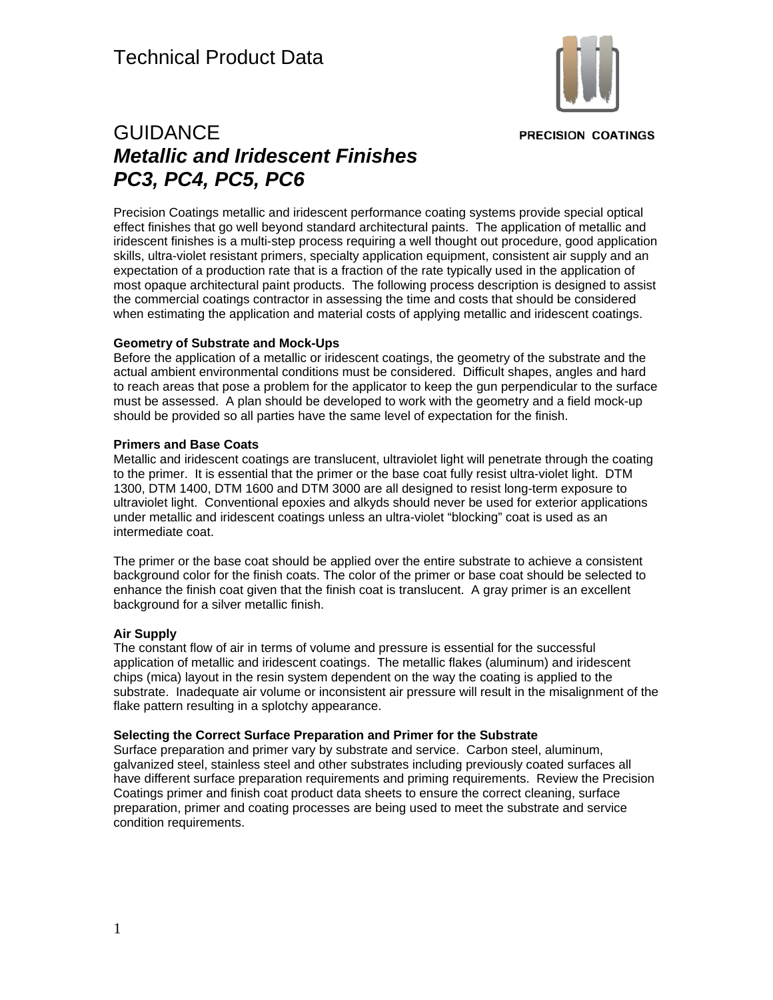

**PRECISION COATINGS** 

# GUIDANCE *Metallic and Iridescent Finishes PC3, PC4, PC5, PC6*

Precision Coatings metallic and iridescent performance coating systems provide special optical effect finishes that go well beyond standard architectural paints. The application of metallic and iridescent finishes is a multi-step process requiring a well thought out procedure, good application skills, ultra-violet resistant primers, specialty application equipment, consistent air supply and an expectation of a production rate that is a fraction of the rate typically used in the application of most opaque architectural paint products. The following process description is designed to assist the commercial coatings contractor in assessing the time and costs that should be considered when estimating the application and material costs of applying metallic and iridescent coatings.

# **Geometry of Substrate and Mock-Ups**

Before the application of a metallic or iridescent coatings, the geometry of the substrate and the actual ambient environmental conditions must be considered. Difficult shapes, angles and hard to reach areas that pose a problem for the applicator to keep the gun perpendicular to the surface must be assessed. A plan should be developed to work with the geometry and a field mock-up should be provided so all parties have the same level of expectation for the finish.

# **Primers and Base Coats**

Metallic and iridescent coatings are translucent, ultraviolet light will penetrate through the coating to the primer. It is essential that the primer or the base coat fully resist ultra-violet light. DTM 1300, DTM 1400, DTM 1600 and DTM 3000 are all designed to resist long-term exposure to ultraviolet light. Conventional epoxies and alkyds should never be used for exterior applications under metallic and iridescent coatings unless an ultra-violet "blocking" coat is used as an intermediate coat.

The primer or the base coat should be applied over the entire substrate to achieve a consistent background color for the finish coats. The color of the primer or base coat should be selected to enhance the finish coat given that the finish coat is translucent. A gray primer is an excellent background for a silver metallic finish.

# **Air Supply**

The constant flow of air in terms of volume and pressure is essential for the successful application of metallic and iridescent coatings. The metallic flakes (aluminum) and iridescent chips (mica) layout in the resin system dependent on the way the coating is applied to the substrate. Inadequate air volume or inconsistent air pressure will result in the misalignment of the flake pattern resulting in a splotchy appearance.

# **Selecting the Correct Surface Preparation and Primer for the Substrate**

Surface preparation and primer vary by substrate and service. Carbon steel, aluminum, galvanized steel, stainless steel and other substrates including previously coated surfaces all have different surface preparation requirements and priming requirements. Review the Precision Coatings primer and finish coat product data sheets to ensure the correct cleaning, surface preparation, primer and coating processes are being used to meet the substrate and service condition requirements.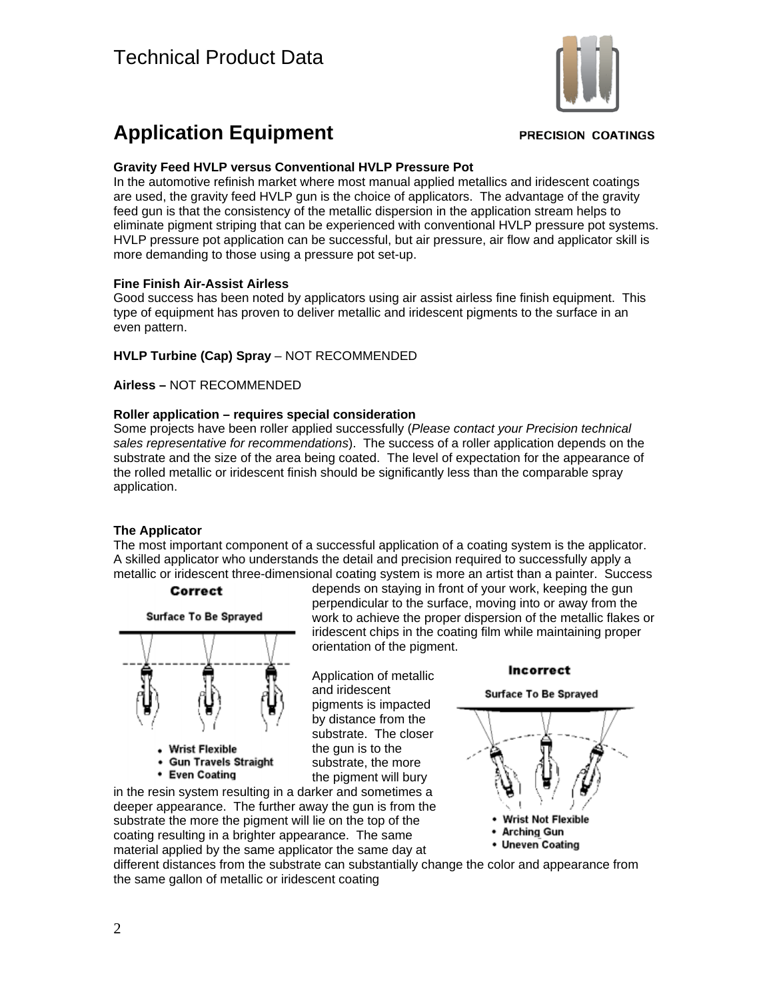

# **Application Equipment**

#### **PRECISION COATINGS**

#### **Gravity Feed HVLP versus Conventional HVLP Pressure Pot**

In the automotive refinish market where most manual applied metallics and iridescent coatings are used, the gravity feed HVLP gun is the choice of applicators. The advantage of the gravity feed gun is that the consistency of the metallic dispersion in the application stream helps to eliminate pigment striping that can be experienced with conventional HVLP pressure pot systems. HVLP pressure pot application can be successful, but air pressure, air flow and applicator skill is more demanding to those using a pressure pot set-up.

#### **Fine Finish Air-Assist Airless**

Good success has been noted by applicators using air assist airless fine finish equipment. This type of equipment has proven to deliver metallic and iridescent pigments to the surface in an even pattern.

# **HVLP Turbine (Cap) Spray** – NOT RECOMMENDED

**Airless –** NOT RECOMMENDED

#### **Roller application – requires special consideration**

Some projects have been roller applied successfully (*Please contact your Precision technical sales representative for recommendations*). The success of a roller application depends on the substrate and the size of the area being coated. The level of expectation for the appearance of the rolled metallic or iridescent finish should be significantly less than the comparable spray application.

# **The Applicator**

The most important component of a successful application of a coating system is the applicator. A skilled applicator who understands the detail and precision required to successfully apply a metallic or iridescent three-dimensional coating system is more an artist than a painter. Success





deeper appearance. The further away the gun is from the substrate the more the pigment will lie on the top of the coating resulting in a brighter appearance. The same material applied by the same applicator the same day at

depends on staying in front of your work, keeping the gun perpendicular to the surface, moving into or away from the work to achieve the proper dispersion of the metallic flakes or iridescent chips in the coating film while maintaining proper orientation of the pigment.

Application of metallic and iridescent pigments is impacted by distance from the substrate. The closer the gun is to the substrate, the more the pigment will bury

Incorrect **Surface To Be Sprayed** 



• Arching Gun

• Uneven Coating

different distances from the substrate can substantially change the color and appearance from the same gallon of metallic or iridescent coating